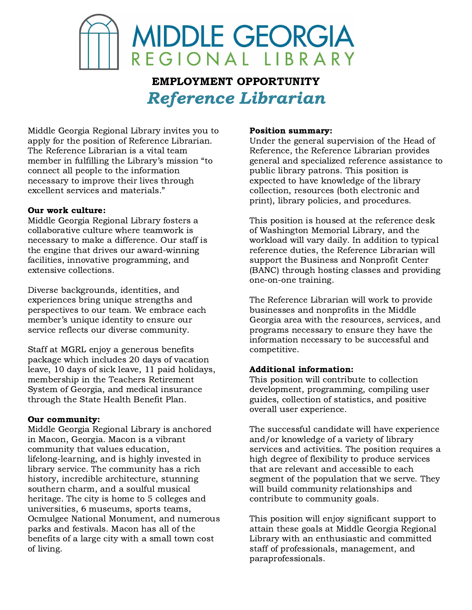

# EMPLOYMENT OPPORTUNITY Reference Librarian

Middle Georgia Regional Library invites you to apply for the position of Reference Librarian. The Reference Librarian is a vital team member in fulfilling the Library's mission "to connect all people to the information necessary to improve their lives through excellent services and materials."

### Our work culture:

Middle Georgia Regional Library fosters a collaborative culture where teamwork is necessary to make a difference. Our staff is the engine that drives our award-winning facilities, innovative programming, and extensive collections.

Diverse backgrounds, identities, and experiences bring unique strengths and perspectives to our team. We embrace each member's unique identity to ensure our service reflects our diverse community.

Staff at MGRL enjoy a generous benefits package which includes 20 days of vacation leave, 10 days of sick leave, 11 paid holidays, membership in the Teachers Retirement System of Georgia, and medical insurance through the State Health Benefit Plan.

### Our community:

Middle Georgia Regional Library is anchored in Macon, Georgia. Macon is a vibrant community that values education, lifelong-learning, and is highly invested in library service. The community has a rich history, incredible architecture, stunning southern charm, and a soulful musical heritage. The city is home to 5 colleges and universities, 6 museums, sports teams, Ocmulgee National Monument, and numerous parks and festivals. Macon has all of the benefits of a large city with a small town cost of living.

#### Position summary:

Under the general supervision of the Head of Reference, the Reference Librarian provides general and specialized reference assistance to public library patrons. This position is expected to have knowledge of the library collection, resources (both electronic and print), library policies, and procedures.

This position is housed at the reference desk of Washington Memorial Library, and the workload will vary daily. In addition to typical reference duties, the Reference Librarian will support the Business and Nonprofit Center (BANC) through hosting classes and providing one-on-one training.

The Reference Librarian will work to provide businesses and nonprofits in the Middle Georgia area with the resources, services, and programs necessary to ensure they have the information necessary to be successful and competitive.

### Additional information:

This position will contribute to collection development, programming, compiling user guides, collection of statistics, and positive overall user experience.

The successful candidate will have experience and/or knowledge of a variety of library services and activities. The position requires a high degree of flexibility to produce services that are relevant and accessible to each segment of the population that we serve. They will build community relationships and contribute to community goals.

This position will enjoy significant support to attain these goals at Middle Georgia Regional Library with an enthusiastic and committed staff of professionals, management, and paraprofessionals.